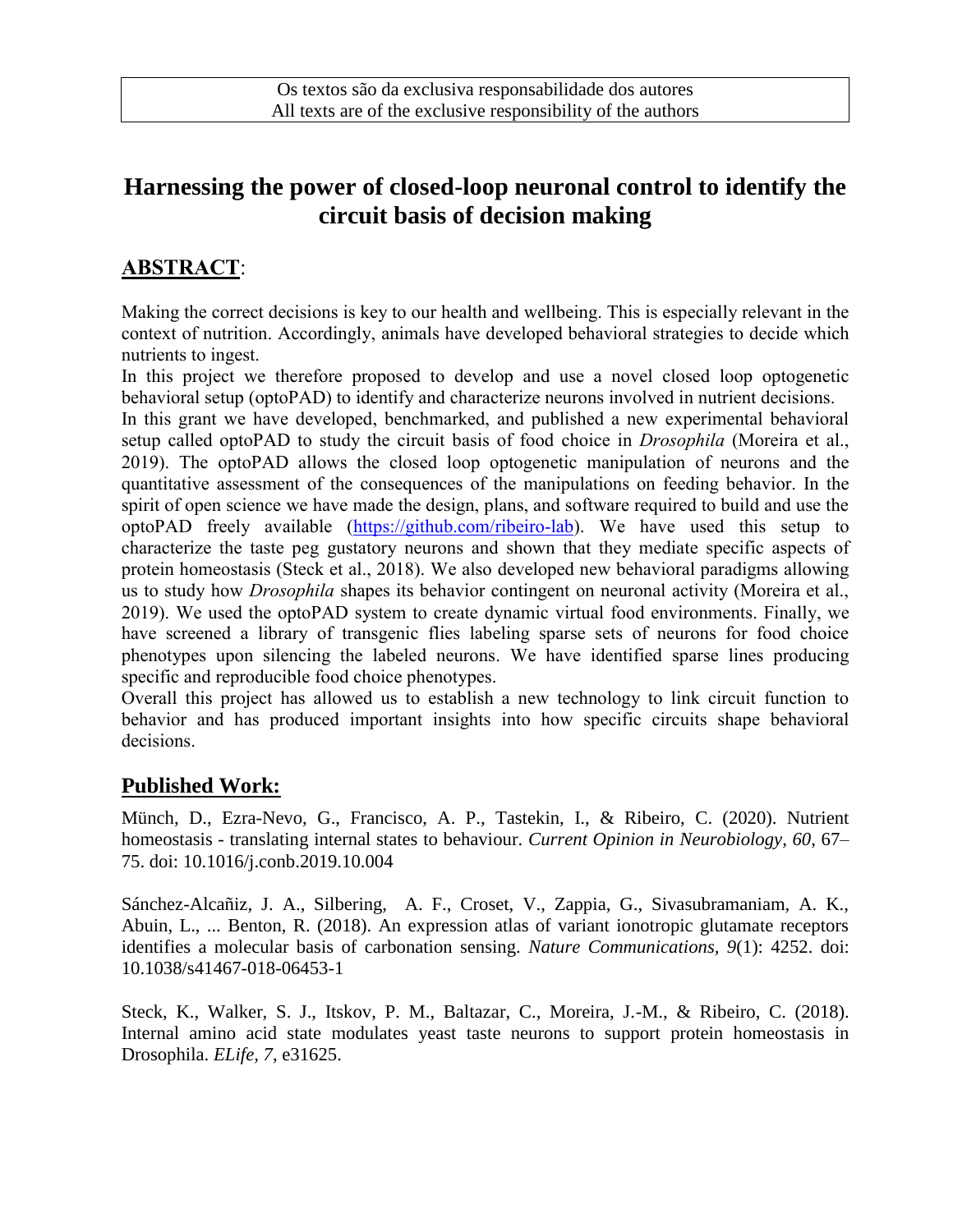# **Harnessing the power of closed-loop neuronal control to identify the circuit basis of decision making**

## **ABSTRACT**:

Making the correct decisions is key to our health and wellbeing. This is especially relevant in the context of nutrition. Accordingly, animals have developed behavioral strategies to decide which nutrients to ingest.

In this project we therefore proposed to develop and use a novel closed loop optogenetic behavioral setup (optoPAD) to identify and characterize neurons involved in nutrient decisions.

In this grant we have developed, benchmarked, and published a new experimental behavioral setup called optoPAD to study the circuit basis of food choice in *Drosophila* (Moreira et al., 2019). The optoPAD allows the closed loop optogenetic manipulation of neurons and the quantitative assessment of the consequences of the manipulations on feeding behavior. In the spirit of open science we have made the design, plans, and software required to build and use the optoPAD freely available [\(https://github.com/ribeiro-lab\)](https://github.com/ribeiro-lab). We have used this setup to characterize the taste peg gustatory neurons and shown that they mediate specific aspects of protein homeostasis (Steck et al., 2018). We also developed new behavioral paradigms allowing us to study how *Drosophila* shapes its behavior contingent on neuronal activity (Moreira et al., 2019). We used the optoPAD system to create dynamic virtual food environments. Finally, we have screened a library of transgenic flies labeling sparse sets of neurons for food choice phenotypes upon silencing the labeled neurons. We have identified sparse lines producing specific and reproducible food choice phenotypes.

Overall this project has allowed us to establish a new technology to link circuit function to behavior and has produced important insights into how specific circuits shape behavioral decisions.

### **Published Work:**

Münch, D., Ezra-Nevo, G., Francisco, A. P., Tastekin, I., & Ribeiro, C. (2020). Nutrient homeostasis - translating internal states to behaviour. *Current Opinion in Neurobiology, 60*, 67– 75. doi: 10.1016/j.conb.2019.10.004

Sánchez-Alcañiz, J. A., Silbering, A. F., Croset, V., Zappia, G., Sivasubramaniam, A. K., Abuin, L., ... Benton, R. (2018). An expression atlas of variant ionotropic glutamate receptors identifies a molecular basis of carbonation sensing. *Nature Communications, 9*(1): 4252. doi: 10.1038/s41467-018-06453-1

Steck, K., Walker, S. J., Itskov, P. M., Baltazar, C., Moreira, J.-M., & Ribeiro, C. (2018). Internal amino acid state modulates yeast taste neurons to support protein homeostasis in Drosophila. *ELife, 7*, e31625.